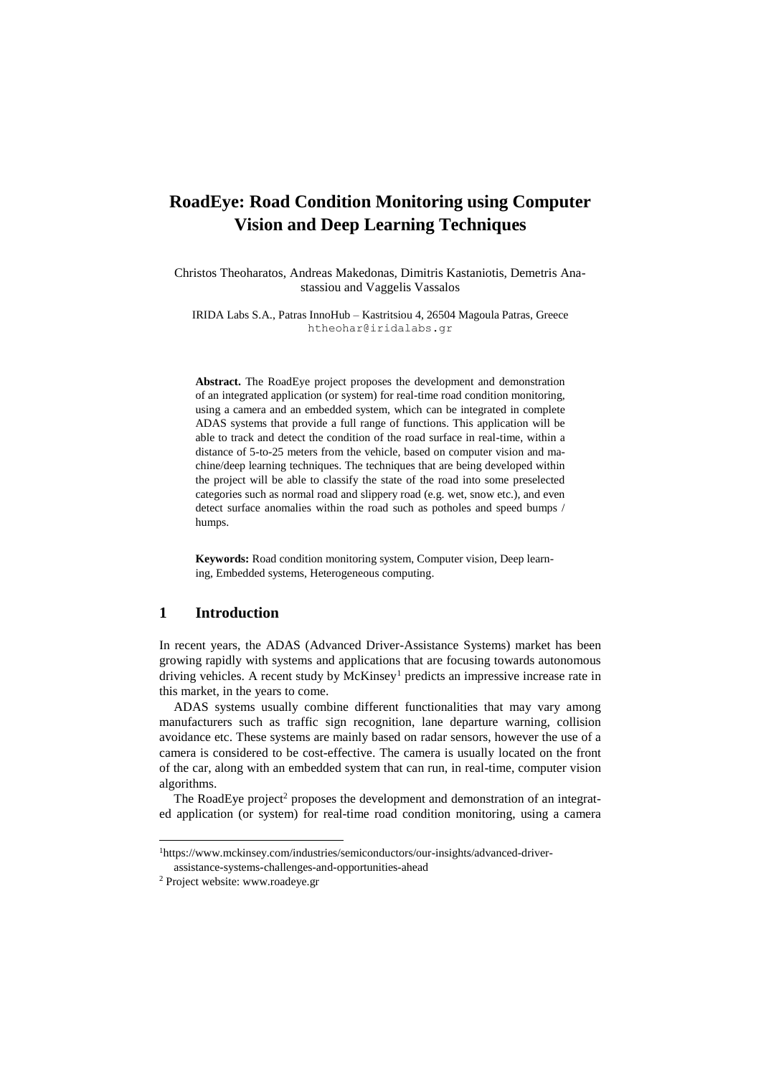# **RoadEye: Road Condition Monitoring using Computer Vision and Deep Learning Techniques**

Christos Theoharatos, Andreas Makedonas, Dimitris Kastaniotis, Demetris Anastassiou and Vaggelis Vassalos

IRIDA Labs S.A., Patras InnoHub – Kastritsiou 4, 26504 Magoula Patras, Greece htheohar@iridalabs.gr

**Abstract.** The RoadEye project proposes the development and demonstration of an integrated application (or system) for real-time road condition monitoring, using a camera and an embedded system, which can be integrated in complete ADAS systems that provide a full range of functions. This application will be able to track and detect the condition of the road surface in real-time, within a distance of 5-to-25 meters from the vehicle, based on computer vision and machine/deep learning techniques. The techniques that are being developed within the project will be able to classify the state of the road into some preselected categories such as normal road and slippery road (e.g. wet, snow etc.), and even detect surface anomalies within the road such as potholes and speed bumps / humps.

**Keywords:** Road condition monitoring system, Computer vision, Deep learning, Embedded systems, Heterogeneous computing.

# **1 Introduction**

In recent years, the ADAS (Advanced Driver-Assistance Systems) market has been growing rapidly with systems and applications that are focusing towards autonomous driving vehicles. A recent study by McKinsey<sup>1</sup> predicts an impressive increase rate in this market, in the years to come.

ADAS systems usually combine different functionalities that may vary among manufacturers such as traffic sign recognition, lane departure warning, collision avoidance etc. These systems are mainly based on radar sensors, however the use of a camera is considered to be cost-effective. The camera is usually located on the front of the car, along with an embedded system that can run, in real-time, computer vision algorithms.

The RoadEye project<sup>2</sup> proposes the development and demonstration of an integrated application (or system) for real-time road condition monitoring, using a camera

 $\overline{a}$ 

<sup>1</sup>[https://www.mckinsey.com/industries/semiconductors/our-insights/advanced-driver](https://www.mckinsey.com/industries/semiconductors/our-insights/advanced-driver-assistance-systems-challenges-and-opportunities-ahead)[assistance-systems-challenges-and-opportunities-ahead](https://www.mckinsey.com/industries/semiconductors/our-insights/advanced-driver-assistance-systems-challenges-and-opportunities-ahead)

<sup>2</sup> Project website: www.roadeye.gr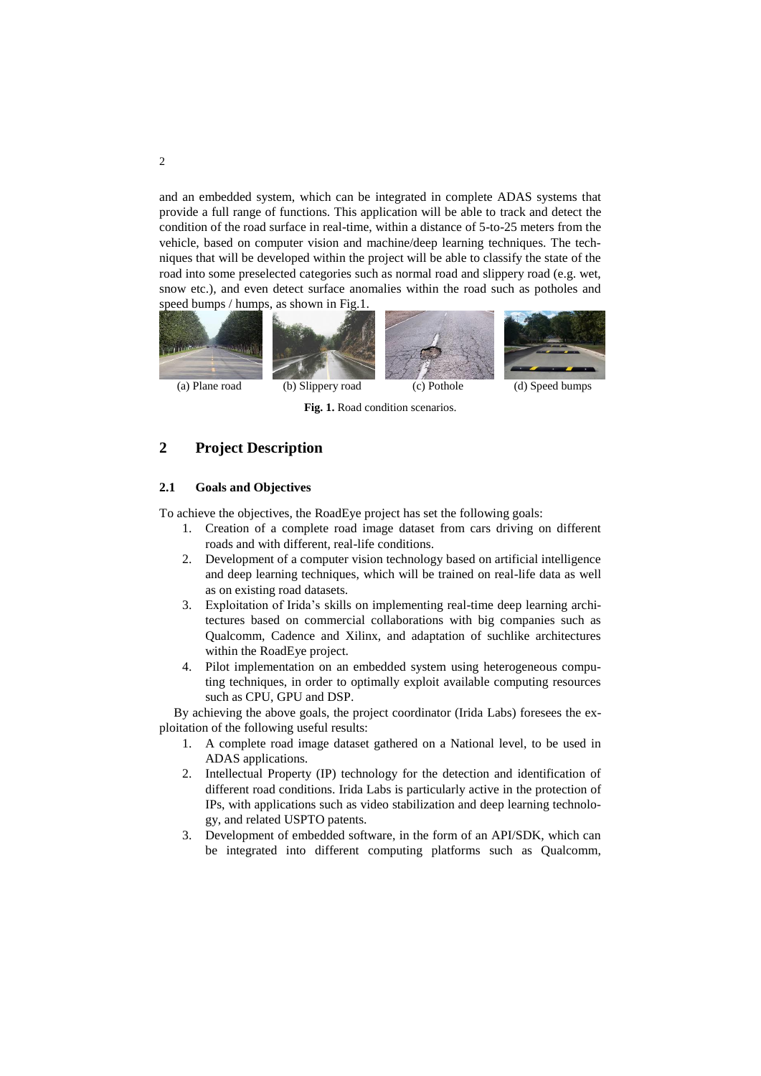and an embedded system, which can be integrated in complete ADAS systems that provide a full range of functions. This application will be able to track and detect the condition of the road surface in real-time, within a distance of 5-to-25 meters from the vehicle, based on computer vision and machine/deep learning techniques. The techniques that will be developed within the project will be able to classify the state of the road into some preselected categories such as normal road and slippery road (e.g. wet, snow etc.), and even detect surface anomalies within the road such as potholes and speed bumps / humps, as shown in Fig.1.



**Fig. 1.** Road condition scenarios.

# **2 Project Description**

## **2.1 Goals and Objectives**

To achieve the objectives, the RoadEye project has set the following goals:

- 1. Creation of a complete road image dataset from cars driving on different roads and with different, real-life conditions.
- 2. Development of a computer vision technology based on artificial intelligence and deep learning techniques, which will be trained on real-life data as well as on existing road datasets.
- 3. Exploitation of Irida's skills on implementing real-time deep learning architectures based on commercial collaborations with big companies such as Qualcomm, Cadence and Xilinx, and adaptation of suchlike architectures within the RoadEye project.
- 4. Pilot implementation on an embedded system using heterogeneous computing techniques, in order to optimally exploit available computing resources such as CPU, GPU and DSP.

By achieving the above goals, the project coordinator (Irida Labs) foresees the exploitation of the following useful results:

- 1. A complete road image dataset gathered on a National level, to be used in ADAS applications.
- 2. Intellectual Property (IP) technology for the detection and identification of different road conditions. Irida Labs is particularly active in the protection of IPs, with applications such as video stabilization and deep learning technology, and related USPTO patents.
- 3. Development of embedded software, in the form of an API/SDK, which can be integrated into different computing platforms such as Qualcomm,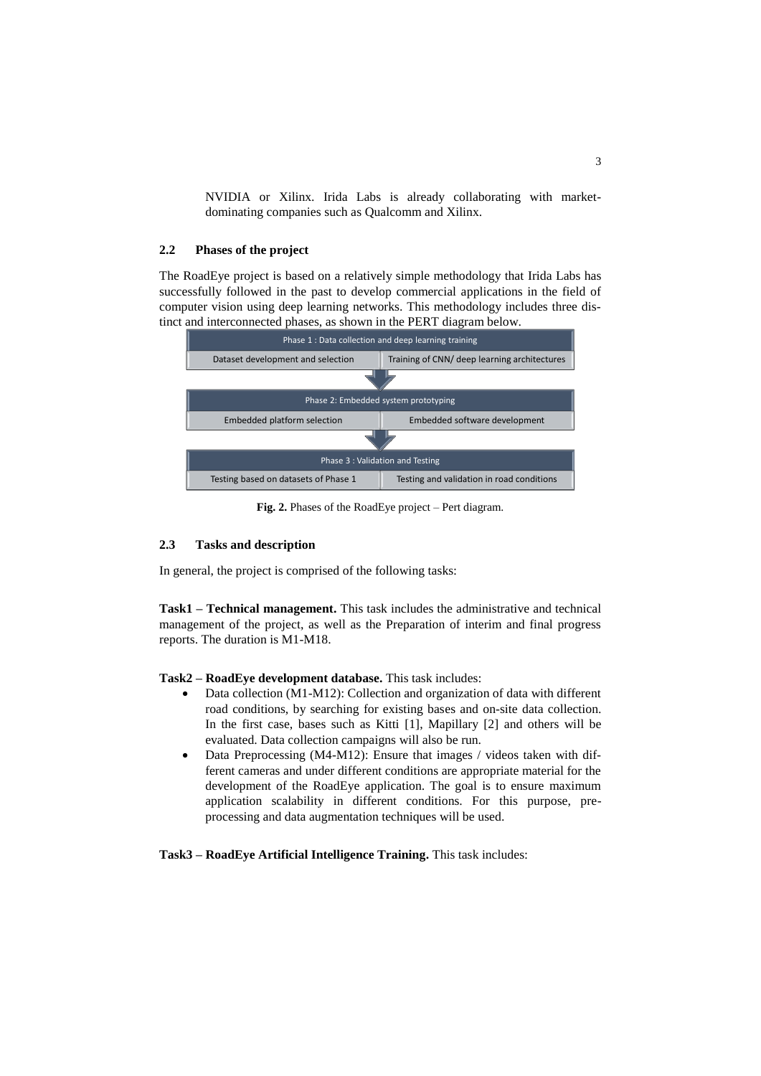NVIDIA or Xilinx. Irida Labs is already collaborating with marketdominating companies such as Qualcomm and Xilinx.

## **2.2 Phases of the project**

The RoadEye project is based on a relatively simple methodology that Irida Labs has successfully followed in the past to develop commercial applications in the field of computer vision using deep learning networks. This methodology includes three distinct and interconnected phases, as shown in the PERT diagram below.



**Fig. 2.** Phases of the RoadEye project – Pert diagram.

#### **2.3 Tasks and description**

In general, the project is comprised of the following tasks:

**Task1 – Technical management.** This task includes the administrative and technical management of the project, as well as the Preparation of interim and final progress reports. The duration is M1-M18.

#### **Task2 – RoadEye development database.** This task includes:

- Data collection (M1-M12): Collection and organization of data with different road conditions, by searching for existing bases and on-site data collection. In the first case, bases such as Kitti [1], Mapillary [2] and others will be evaluated. Data collection campaigns will also be run.
- Data Preprocessing (M4-M12): Ensure that images / videos taken with different cameras and under different conditions are appropriate material for the development of the RoadEye application. The goal is to ensure maximum application scalability in different conditions. For this purpose, preprocessing and data augmentation techniques will be used.

**Task3 – RoadEye Artificial Intelligence Training.** This task includes: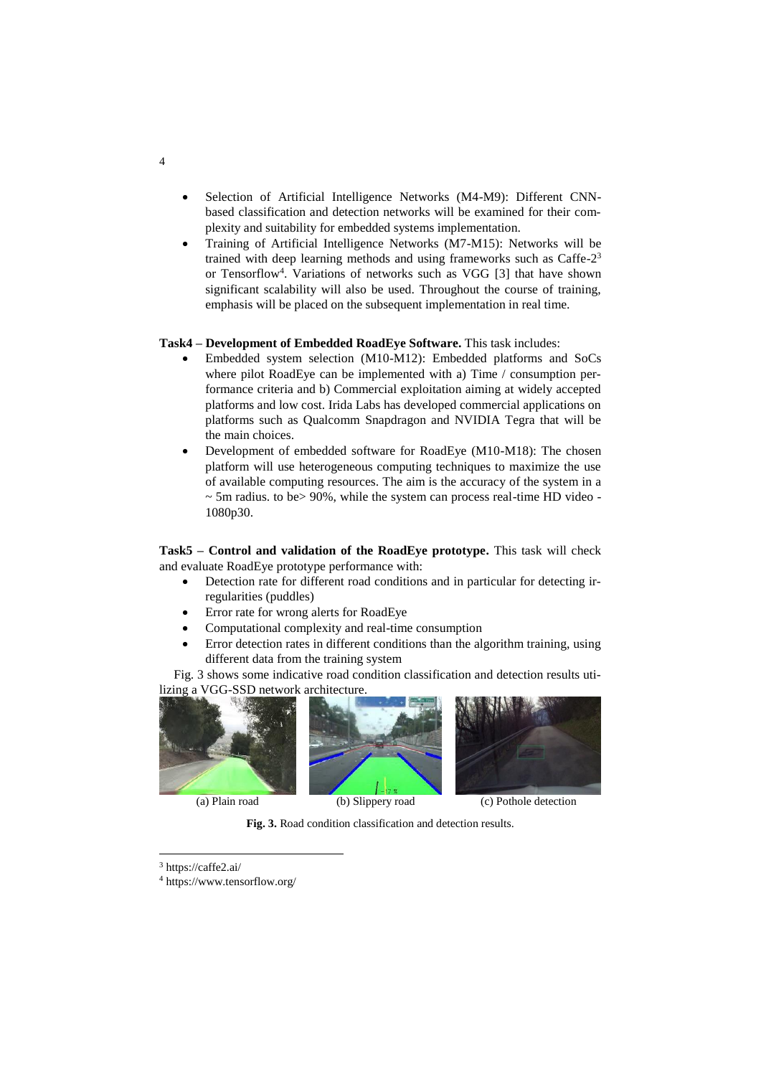- Selection of Artificial Intelligence Networks (M4-M9): Different CNNbased classification and detection networks will be examined for their complexity and suitability for embedded systems implementation.
- Training of Artificial Intelligence Networks (M7-M15): Networks will be trained with deep learning methods and using frameworks such as Caffe-2<sup>3</sup> or Tensorflow<sup>4</sup>. Variations of networks such as VGG [3] that have shown significant scalability will also be used. Throughout the course of training, emphasis will be placed on the subsequent implementation in real time.

### **Task4 – Development of Embedded RoadEye Software.** This task includes:

- Embedded system selection (M10-M12): Embedded platforms and SoCs where pilot RoadEye can be implemented with a) Time / consumption performance criteria and b) Commercial exploitation aiming at widely accepted platforms and low cost. Irida Labs has developed commercial applications on platforms such as Qualcomm Snapdragon and NVIDIA Tegra that will be the main choices.
- Development of embedded software for RoadEye (M10-M18): The chosen platform will use heterogeneous computing techniques to maximize the use of available computing resources. The aim is the accuracy of the system in a ~ 5m radius. to be> 90%, while the system can process real-time HD video - 1080p30.

**Task5 – Control and validation of the RoadEye prototype.** This task will check and evaluate RoadEye prototype performance with:

- Detection rate for different road conditions and in particular for detecting irregularities (puddles)
- Error rate for wrong alerts for RoadEye
- Computational complexity and real-time consumption
- Error detection rates in different conditions than the algorithm training, using different data from the training system

Fig. 3 shows some indicative road condition classification and detection results utilizing a VGG-SSD network architecture.







**Fig. 3.** Road condition classification and detection results.

 $\overline{a}$ 

4

<sup>3</sup> <https://caffe2.ai/>

<sup>4</sup> <https://www.tensorflow.org/>